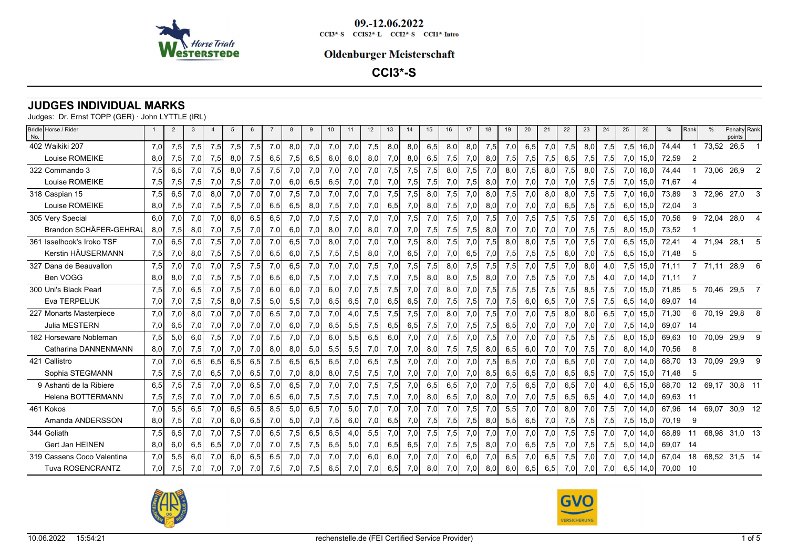

### **Oldenburger Meisterschaft**

**CCI3\*-S**

# **JUDGES INDIVIDUAL MARKS**

| Bridle Horse / Rider<br>No. |     | $\overline{2}$ | 3   |     |     |     |     |     |     | 10  | 11  | 12 <sup>2</sup> | 13  | 14  | 15  | 16   | 17  | 18  | 19  | 20  | 21  | 22  | 23  | 24  | 25  | 26   | %     | Rank              |            | Penalty Rank<br>points |   |
|-----------------------------|-----|----------------|-----|-----|-----|-----|-----|-----|-----|-----|-----|-----------------|-----|-----|-----|------|-----|-----|-----|-----|-----|-----|-----|-----|-----|------|-------|-------------------|------------|------------------------|---|
| 402 Waikiki 207             | 7.0 | 7,5            | 7,5 | 7,5 | 7,5 | 7,5 | 7.0 | 8,0 | 7,0 | 7,0 | 7,0 | 7,5             | 8.0 | 8.0 | 6,5 | 8.OI | 8,0 | 7,5 | 7,0 | 6,5 | 7,0 | 7,5 | 8,0 | 7,5 | 7,5 | 16.0 | 74,44 |                   | 73,52      | 26,5                   |   |
| Louise ROMEIKE              | 8,0 | 7,5            | 7,0 | 7,5 | 8,0 | 7,5 | 6,5 | 7,5 | 6,5 | 6,0 | 6,0 | 8,0             | 7,0 | 8,0 | 6,5 | 7,5  | 7,0 | 8,0 | 7,5 | 7,5 | 7,5 | 6,5 | 7,5 | 7,5 | 7,0 | 15,0 | 72,59 |                   |            |                        |   |
| 322 Commando 3              | 7,5 | 6,5            | 7,0 | 7,5 | 8,0 | 7,5 | 7,5 | 7,0 | 7,0 | 7,0 | 7,0 | 7,0             | 7,5 | 7,5 | 7,5 | 8,0  | 7,5 | 7,0 | 8,0 | 7,5 | 8,0 | 7,5 | 8,0 | 7,5 | 7,0 | 16,0 | 74,44 |                   | 73,06      | 26,9                   |   |
| Louise ROMEIKE              | 7,5 | 7,5            | 7,5 | 7,0 | 7,5 | 7,0 | 7,0 | 6,0 | 6,5 | 6,5 | 7,0 | 7,0             | 7,0 | 7,5 | 7,5 | 7,0  | 7,5 | 8,0 | 7,0 | 7,0 | 7,0 | 7,0 | 7,5 | 7,5 | 7,0 | 15,0 | 71,67 | 4                 |            |                        |   |
| 318 Caspian 15              | 7.5 | 6.5            | 7.0 | 8.0 | 7.0 | 7.0 | 7.0 | 7,5 | 7.0 | 7.0 | 7.0 | 7.0             | 7,5 | 7.5 | 8.0 | 7,5  | 7.0 | 8.0 | 7,5 | 7.0 | 8.0 | 8.0 | 7,5 | 7,5 | 7,0 | 16.0 | 73,89 | 3                 | 72,96      | 27,0                   |   |
| Louise ROMEIKE              | 8,0 | 7,5            | 7,0 | 7,5 | 7,5 | 7,0 | 6,5 | 6,5 | 8,0 | 7,5 | 7,0 | 7,0             | 6,5 | 7,0 | 8,0 | 7,5  | 7,0 | 8,0 | 7,0 | 7,0 | 7,0 | 6,5 | 7,5 | 7,5 | 6,0 | 15,0 | 72,04 | 3                 |            |                        |   |
| 305 Very Special            | 6.0 | 7,0            | 7,0 | 7,0 | 6.0 | 6,5 | 6,5 | 7,0 | 7,0 | 7,5 | 7,0 | 7,0             | 7,0 | 7,5 | 7,0 | 7,5  | 7,0 | 7,5 | 7,0 | 7,5 | 7,5 | 7,5 | 7,5 | 7,0 | 6,5 | 15.0 | 70,56 | 9                 | 72,04      | 28,0                   |   |
| Brandon SCHÄFER-GEHRAL      | 8,0 | 7,5            | 8,0 | 7,0 | 7,5 | 7,0 | 7,0 | 6,0 | 7,0 | 8,0 | 7,0 | 8,0             | 7,0 | 7,0 | 7,5 | 7,5  | 7,5 | 8,0 | 7,0 | 7,0 | 7,0 | 7,0 | 7,5 | 7,5 | 8,0 | 15,0 | 73,52 |                   |            |                        |   |
| 361 Isselhook's Iroko TSF   | 7.0 | 6,5            | 7,0 | 7,5 | 7.0 | 7,0 | 7,0 | 6,5 | 7.0 | 8.0 | 7,0 | 7,0             | 7,0 | 7,5 | 8,0 | 7,5  | 7,0 | 7,5 | 8,0 | 8,0 | 7,5 | 7,0 | 7,5 | 7,0 | 6,5 | 15.0 | 72,41 | Δ                 | 71,94      | 28,1                   |   |
| Kerstin HÄUSERMANN          | 7,5 | 7,0            | 8,0 | 7,5 | 7,5 | 7,0 | 6,5 | 6,0 | 7,5 | 7,5 | 7,5 | 8,0             | 7,0 | 6,5 | 7,0 | 7,0  | 6,5 | 7,0 | 7,5 | 7,5 | 7,5 | 6,0 | 7,0 | 7,5 | 6,5 | 15,0 | 71.48 | -5                |            |                        |   |
| 327 Dana de Beauvallon      | 7,5 | 7,0            | 7,0 | 7,0 | 7,5 | 7,5 | 7,0 | 6,5 | 7,0 | 7,0 | 7,0 | 7,5             | 7,0 | 7,5 | 7,5 | 8.0  | 7,5 | 7,5 | 7,5 | 7,0 | 7,5 | 7,0 | 8.0 | 4,0 | 7.5 | 15,0 | 71,11 |                   | 71,11      | 28,9                   | 6 |
| Ben VOGG                    | 8,0 | 8,0            | 7,0 | 7,5 | 7,5 | 7,0 | 6,5 | 6,0 | 7,5 | 7,0 | 7,0 | 7,5             | 7,0 | 7,5 | 8,0 | 8,0  | 7,5 | 8,0 | 7,0 | 7,5 | 7,5 | 7,0 | 7,5 | 4,0 | 7,0 | 14,0 | 71.11 |                   |            |                        |   |
| 300 Uni's Black Pearl       | 7,5 | 7,0            | 6,5 | 7,0 | 7,5 | 7,0 | 6,0 | 6,0 | 7,0 | 6,0 | 7,0 | 7,5             | 7,5 | 7,0 | 7,0 | 8,0  | 7,0 | 7,5 | 7,5 | 7,5 | 7,5 | 7,5 | 8,5 | 7,5 | 7,0 | 15,0 | 71.85 | 5                 | 70,46 29,5 |                        |   |
| Eva TERPELUK                | 7,0 | 7,0            | 7,5 | 7,5 | 8,0 | 7,5 | 5,0 | 5,5 | 7,0 | 6,5 | 6,5 | 7,0             | 6,5 | 6,5 | 7,0 | 7,5  | 7,5 | 7,0 | 7,5 | 6,0 | 6,5 | 7,0 | 7,5 | 7,5 | 6,5 | 14,0 | 69,07 | -14               |            |                        |   |
| 227 Monarts Masterpiece     | 7.0 | 7,0            | 8.0 | 7.0 | 7,0 | 7,0 | 6.5 | 7,0 | 7,0 | 7,0 | 4.0 | 7,5             | 7,5 | 7,5 | 7.0 | 8.0  | 7.0 | 7,5 | 7.0 | 7,0 | 7,5 | 8.0 | 8.0 | 6.5 | 7,0 | 15,0 | 71,30 | 6                 |            | 70,19 29,8             | 8 |
| Julia MESTERN               | 7,0 | 6,5            | 7,0 | 7,0 | 7,0 | 7,0 | 7,0 | 6,0 | 7,0 | 6,5 | 5,5 | 7,5             | 6,5 | 6,5 | 7,5 | 7,0  | 7,5 | 7,5 | 6,5 | 7,0 | 7,0 | 7,0 | 7,0 | 7,0 | 7,5 | 14,0 | 69.07 | 14                |            |                        |   |
| 182 Horseware Nobleman      | 7.5 | 5,0            | 6.0 | 7.5 | 7.0 | 7.0 | 7,5 | 7.0 | 7,0 | 6.0 | 5.5 | 6.5             | 6.0 | 7.0 | 7.0 | 7.5  | 7.0 | 7,5 | 7.0 | 7.0 | 7.0 | 7,5 | 7,5 | 7,5 | 8.0 | 15.0 | 69.63 | 10                | 70,09      | 29,9                   |   |
| Catharina DANNENMANN        | 8,0 | 7,0            | 7,5 | 7,0 | 7,0 | 7,0 | 8,0 | 8,0 | 5,0 | 5,5 | 5,5 | 7,0             | 7,0 | 7,0 | 8,0 | 7,5  | 7,5 | 8,0 | 6,5 | 6,0 | 7,0 | 7,0 | 7,5 | 7,0 | 8,0 | 14,0 | 70,56 | 8                 |            |                        |   |
| 421 Callistro               | 7.0 | 7.0            | 6.5 | 6.5 | 6.5 | 6.5 | 7.5 | 6.5 | 6.5 | 6.5 | 7.0 | 6.5             | 7.5 | 7.0 | 7.0 | 7.0  | 7.0 | 7,5 | 6.5 | 7.0 | 7.0 | 6.5 | 7.0 | 7.0 | 7.0 | 14.0 | 68.70 | 13                | 70,09      | 29,9                   | 9 |
| Sophia STEGMANN             | 7,5 | 7,5            | 7,0 | 6,5 | 7,0 | 6,5 | 7,0 | 7,0 | 8,0 | 8,0 | 7,5 | 7,5             | 7,0 | 7,0 | 7,0 | 7,0  | 7,0 | 8,5 | 6,5 | 6,5 | 7,0 | 6,5 | 6,5 | 7,0 | 7,5 | 15,0 | 71,48 | 5                 |            |                        |   |
| 9 Ashanti de la Ribiere     | 6.5 | 7,5            | 7.5 | 7.0 | 7.0 | 6.5 | 7.0 | 6.5 | 7.0 | 7.0 | 7.0 | 7.5             | 7.5 | 7.0 | 6.5 | 6.5  | 7.0 | 7.0 | 7,5 | 6.5 | 7.0 | 6.5 | 7.0 | 4.0 | 6.5 | 15.0 | 68.70 | $12 \overline{ }$ | 69.17      | 30,8 11                |   |
| <b>Helena BOTTERMANN</b>    | 7,5 | 7,5            | 7,0 | 7,0 | 7,0 | 7,0 | 6,5 | 6,0 | 7,5 | 7,5 | 7,0 | 7,5             | 7,0 | 7,0 | 8,0 | 6,5  | 7,0 | 8,0 | 7,0 | 7,0 | 7,5 | 6,5 | 6,5 | 4,0 | 7,0 | 14,0 | 69,63 | -11               |            |                        |   |
| 461 Kokos                   | 7.0 | 5,5            | 6.5 | 7.0 | 6.5 | 6.5 | 8.5 | 5.0 | 6.5 | 7.0 | 5.0 | 7.0             | 7.0 | 7.0 | 7,0 | 7,0  | 7,5 | 7,0 | 5,5 | 7,0 | 7,0 | 8.0 | 7,0 | 7,5 | 7,0 | 14.0 | 67.96 | 14                | 69.07      | 30.9 12                |   |
| Amanda ANDERSSON            | 8,0 | 7,5            | 7,0 | 7,0 | 6,0 | 6,5 | 7,0 | 5,0 | 7,0 | 7,5 | 6,0 | 7,0             | 6,5 | 7,0 | 7,5 | 7,5  | 7,5 | 8,0 | 5,5 | 6,5 | 7,0 | 7,5 | 7,5 | 7,5 | 7,5 | 15,0 | 70,19 | 9                 |            |                        |   |
| 344 Goliath                 | 7.5 | 6,5            | 7.0 | 7.0 | 7.5 | 7.0 | 6.5 | 7,5 | 6.5 | 6.5 | 4.0 | 5.5             | 7,0 | 7.0 | 7,5 | 7,5  | 7.0 | 7,0 | 7,0 | 7.0 | 7.0 | 7.5 | 7.5 | 7.0 | 7.0 | 14.0 | 68.89 |                   | 68.98      | 31,0 13                |   |
| Gert Jan HEINEN             | 8,0 | 6,0            | 6,5 | 6,5 | 7,0 | 7,0 | 7,0 | 7,5 | 7,5 | 6,5 | 5,0 | 7,0             | 6,5 | 6,5 | 7,0 | 7,5  | 7,5 | 8,0 | 7,0 | 6,5 | 7,5 | 7,0 | 7,5 | 7,5 | 5,0 | 14,0 | 69,07 | -14               |            |                        |   |
| 319 Cassens Coco Valentina  | 7.0 | 5.5            | 6.0 | 7.0 | 6.0 | 6.5 | 6.5 | 7.0 | 7.0 | 7.0 | 7.0 | 6.0             | 6.0 | 7.0 | 7.0 | 7.0  | 6.0 | 7.0 | 6.5 | 7.0 | 6.5 | 7.5 | 7.0 | 7.0 | 7.0 | 14.0 | 67.04 | 18                | 68.52      | 31.5 14                |   |
| <b>Tuva ROSENCRANTZ</b>     | 7,0 | 7,5            | 7,0 | 7,0 | 7,0 | 7,0 | 7,5 | 7,0 | 7,5 | 6,5 | 7,0 | 7,0             | 6,5 | 7,0 | 8,0 | 7,0  | 7,0 | 8,0 | 6,0 | 6,5 | 6,5 | 7,0 | 7,0 | 7,0 | 6,5 | 14,0 | 70,00 | - 10              |            |                        |   |



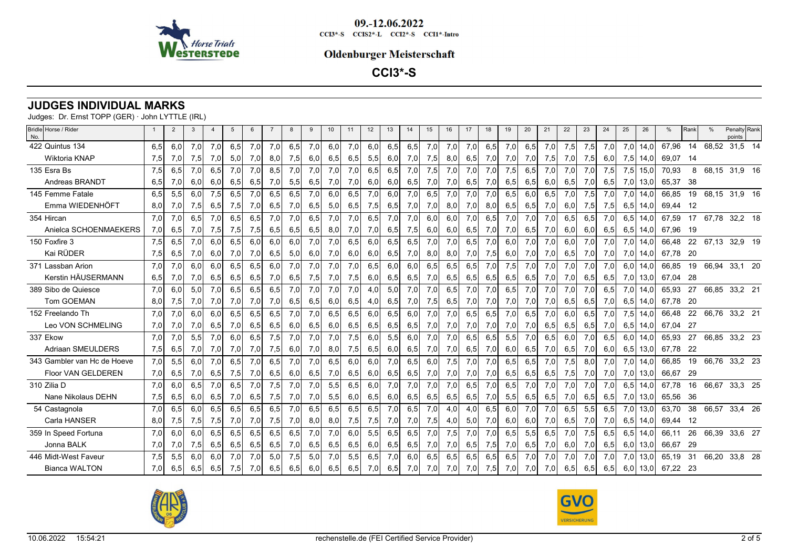

### **Oldenburger Meisterschaft**

**CCI3\*-S**

# **JUDGES INDIVIDUAL MARKS**

| Bridle Horse / Rider<br>No. |     | 2   |     |     |     |     |     |     |     | 10 <sup>°</sup> | 11  | 12  | 13  | 14  | 15  | 16  | 17  | 18  | 19  | 20  | 21  | 22  | 23  | 24   | 25  | 26   | %        | l Rank |               | Penalty Rank<br>points |  |
|-----------------------------|-----|-----|-----|-----|-----|-----|-----|-----|-----|-----------------|-----|-----|-----|-----|-----|-----|-----|-----|-----|-----|-----|-----|-----|------|-----|------|----------|--------|---------------|------------------------|--|
| 422 Quintus 134             | 6.5 | 6,0 | 7,0 | 7,0 | 6,5 | 7,0 | 7,0 | 6,5 | 7,0 | 6,0             | 7,0 | 6,0 | 6,5 | 6,5 | 7,0 | 7,0 | 7,0 | 6,5 | 7,0 | 6,5 | 7,0 | 7,5 | 7,5 | 7,0  | 7,0 | 14.0 | 67,96    | 14     | 68,52         | $31,5$ 14              |  |
| Wiktoria KNAP               | 7,5 | 7,0 | 7,5 | 7,0 | 5,0 | 7,0 | 8,0 | 7,5 | 6,0 | 6,5             | 6,5 | 5,5 | 6,0 | 7,0 | 7,5 | 8,0 | 6,5 | 7,0 | 7,0 | 7,0 | 7,5 | 7,0 | 7,5 | 6,0  | 7,5 | 14,0 | 69,07    | - 14   |               |                        |  |
| 135 Esra Bs                 | 7,5 | 6,5 | 7,0 | 6,5 | 7,0 | 7,0 | 8,5 | 7,0 | 7,0 | 7,0             | 7,0 | 6,5 | 6,5 | 7,0 | 7,5 | 7,0 | 7,0 | 7,0 | 7,5 | 6,5 | 7,0 | 7,0 | 7,0 | 7,5  | 7,5 | 15,0 | 70,93    | 8      |               | 68,15 31,9 16          |  |
| Andreas BRANDT              | 6,5 | 7,0 | 6,0 | 6,0 | 6,5 | 6,5 | 7,0 | 5,5 | 6,5 | 7,0             | 7,0 | 6,0 | 6,0 | 6,5 | 7,0 | 7,0 | 6,5 | 7,0 | 6,5 | 6,5 | 6,0 | 6,5 | 7,0 | 6,5  | 7,0 | 13,0 | 65,37    | -38    |               |                        |  |
| 145 Femme Fatale            | 6,5 | 5,5 | 6.0 | 7,5 | 6.5 | 7.0 | 6.5 | 6.5 | 7.0 | 6.0             | 6.5 | 7.0 | 6.0 | 7.0 | 6.5 | 7.0 | 7.0 | 7.0 | 6.5 | 6.0 | 6,5 | 7,0 | 7,5 | 7,0  | 7,0 | 14.0 | 66.85    | 19     | 68,15 31,9 16 |                        |  |
| Emma WIEDENHÖFT             | 8,0 | 7,0 | 7,5 | 6,5 | 7,5 | 7,0 | 6,5 | 7,0 | 6,5 | 5,0             | 6,5 | 7,5 | 6,5 | 7,0 | 7,0 | 8,0 | 7,0 | 8,0 | 6,5 | 6,5 | 7,0 | 6,0 | 7,5 | 7,5  | 6,5 | 14,0 | 69,44    | - 12   |               |                        |  |
| 354 Hircan                  | 7.0 | 7,0 | 6,5 | 7,0 | 6,5 | 6,5 | 7,0 | 7,0 | 6,5 | 7,0             | 7,0 | 6,5 | 7,0 | 7,0 | 6.0 | 6,0 | 7,0 | 6,5 | 7,0 | 7,0 | 7,0 | 6,5 | 6,5 | 7,0  | 6,5 | 14,0 | 67,59    | 17     |               | 67,78 32,2 18          |  |
| Anielca SCHOENMAEKERS       | 7,0 | 6,5 | 7,0 | 7,5 | 7,5 | 7,5 | 6,5 | 6,5 | 6,5 | 8,0             | 7,0 | 7,0 | 6,5 | 7,5 | 6,0 | 6,0 | 6,5 | 7,0 | 7,0 | 6,5 | 7,0 | 6,0 | 6,0 | 6,5  | 6,5 | 14,0 | 67,96 19 |        |               |                        |  |
| 150 Foxfire 3               | 7.5 | 6,5 | 7.0 | 6.0 | 6.5 | 6.0 | 6.0 | 6.0 | 7.0 | 7.0             | 6.5 | 6.0 | 6.5 | 6,5 | 7,0 | 7.0 | 6,5 | 7,0 | 6.0 | 7,0 | 7,0 | 6.0 | 7,0 | 7,0  | 7,0 | 14,0 | 66.48    | 22     | 67,13 32,9 19 |                        |  |
| Kai RÜDER                   | 7,5 | 6,5 | 7,0 | 6,0 | 7,0 | 7,0 | 6,5 | 5,0 | 6,0 | 7,0             | 6,0 | 6,0 | 6,5 | 7,0 | 8,0 | 8,0 | 7,0 | 7,5 | 6,0 | 7,0 | 7,0 | 6,5 | 7,0 | 7,0  | 7,0 | 14,0 | 67,78    | - 20   |               |                        |  |
| 371 Lassban Arion           | 7,0 | 7,0 | 6,0 | 6,0 | 6,5 | 6,5 | 6,0 | 7,0 | 7,0 | 7,0             | 7,0 | 6,5 | 6,0 | 6,0 | 6,5 | 6,5 | 6,5 | 7,0 | 7,5 | 7,0 | 7,0 | 7,0 | 7,0 | 7,0  | 6,0 | 14.0 | 66,85    | 19     | 66,94         | 33,1 20                |  |
| Kerstin HÄUSERMANN          | 6,5 | 7,0 | 7,0 | 6,5 | 6,5 | 6,5 | 7,0 | 6,5 | 7,5 | 7,0             | 7,5 | 6,0 | 6,5 | 6,5 | 7,0 | 6,5 | 6,5 | 6,5 | 6,5 | 6,5 | 7,0 | 7,0 | 6,5 | 6,5  | 7,0 | 13,0 | 67.04    | - 28   |               |                        |  |
| 389 Sibo de Quiesce         | 7,0 | 6,0 | 5,0 | 7,0 | 6,5 | 6,5 | 6,5 | 7,0 | 7,0 | 7,0             | 7,0 | 4,0 | 5,0 | 7,0 | 7,0 | 6,5 | 7,0 | 7,0 | 6,5 | 7,0 | 7,0 | 7,0 | 7,0 | 6,5  | 7,0 | 14,0 | 65,93    | 27     |               | 66,85 33,2 21          |  |
| Tom GOEMAN                  | 8,0 | 7,5 | 7,0 | 7,0 | 7,0 | 7,0 | 7,0 | 6,5 | 6,5 | 6,0             | 6,5 | 4,0 | 6,5 | 7,0 | 7,5 | 6,5 | 7,0 | 7,0 | 7,0 | 7,0 | 7,0 | 6,5 | 6,5 | 7,0  | 6,5 | 14.0 | 67,78    | - 20   |               |                        |  |
| 152 Freelando Th            | 7,0 | 7,0 | 6,0 | 6,0 | 6,5 | 6,5 | 6,5 | 7,0 | 7,0 | 6,5             | 6,5 | 6,0 | 6,5 | 6,0 | 7,0 | 7,0 | 6,5 | 6,5 | 7,0 | 6,5 | 7,0 | 6,0 | 6,5 | 7,0  | 7,5 | 14,0 | 66,48    | 22     |               | 66,76 33,2 21          |  |
| Leo VON SCHMELING           | 7,0 | 7,0 | 7,0 | 6,5 | 7,0 | 6,5 | 6,5 | 6,0 | 6,5 | 6,0             | 6,5 | 6,5 | 6,5 | 6,5 | 7,0 | 7,0 | 7,0 | 7,0 | 7,0 | 7,0 | 6,5 | 6,5 | 6,5 | 7,0  | 6,5 | 14.0 | 67.04    | -27    |               |                        |  |
| 337 Ekow                    | 7,0 | 7,0 | 5,5 | 7,0 | 6,0 | 6,5 | 7,5 | 7,0 | 7,0 | 7,0             | 7,5 | 6,0 | 5,5 | 6,0 | 7,0 | 7,0 | 6.5 | 6.5 | 5,5 | 7,0 | 6,5 | 6,0 | 7,0 | 6,5  | 6,0 | 14,0 | 65,93    | 27     |               | 66,85 33,2 23          |  |
| <b>Adriaan SMEULDERS</b>    | 7,5 | 6,5 | 7,0 | 7,0 | 7,0 | 7,0 | 7,5 | 6,0 | 7,0 | 8,0             | 7,5 | 6,5 | 6,0 | 6,5 | 7,0 | 7,0 | 6,5 | 7,0 | 6,0 | 6,5 | 7,0 | 6,5 | 7,0 | 6,0  | 6,5 | 13,0 | 67,78    | -22    |               |                        |  |
| 343 Gambler van Hc de Hoeve | 7,0 | 5,5 | 6,0 | 7,0 | 6,5 | 7,0 | 6,5 | 7,0 | 7,0 | 6,5             | 6,0 | 6,0 | 7,0 | 6,5 | 6,0 | 7,5 | 7,0 | 7,0 | 6,5 | 6,5 | 7,0 | 7,5 | 8,0 | 7,0  | 7,0 | 14,0 | 66,85    | 19     | 66,76 33,2 23 |                        |  |
| Floor VAN GELDEREN          | 7,0 | 6,5 | 7,0 | 6,5 | 7,5 | 7,0 | 6,5 | 6,0 | 6,5 | 7,0             | 6,5 | 6,0 | 6,5 | 6,5 | 7,0 | 7,0 | 7,0 | 7,0 | 6,5 | 6,5 | 6,5 | 7,5 | 7,0 | 7,0  | 7,0 | 13,0 | 66,67    | -29    |               |                        |  |
| 310 Zilia D                 | 7,0 | 6,0 | 6,5 | 7,0 | 6,5 | 7,0 | 7,5 | 7.0 | 7.0 | 5,5             | 6,5 | 6,0 | 7,0 | 7,0 | 7,0 | 7,0 | 6.5 | 7,0 | 6.5 | 7,0 | 7,0 | 7,0 | 7,0 | 7,0  | 6,5 | 14,0 | 67.78    | 16     | 66,67         | 33,3 25                |  |
| Nane Nikolaus DEHN          | 7,5 | 6,5 | 6,0 | 6,5 | 7,0 | 6,5 | 7,5 | 7,0 | 7,0 | 5,5             | 6,0 | 6,5 | 6,0 | 6,5 | 6,5 | 6,5 | 6,5 | 7,0 | 5,5 | 6,5 | 6,5 | 7,0 | 6,5 | 6,5  | 7,0 | 13,0 | 65,56    | 36     |               |                        |  |
| 54 Castagnola               | 7.0 | 6,5 | 6,0 | 6,5 | 6,5 | 6,5 | 6,5 | 7.0 | 6,5 | 6,5             | 6,5 | 6,5 | 7,0 | 6.5 | 7,0 | 4,0 | 4,0 | 6.5 | 6.0 | 7,0 | 7,0 | 6,5 | 5,5 | 6,5  | 7,0 | 13,0 | 63.70    | 38     | 66,57         | 33,4 26                |  |
| Carla HANSER                | 8,0 | 7,5 | 7,5 | 7,5 | 7,0 | 7,0 | 7,5 | 7,0 | 8,0 | 8,0             | 7,5 | 7,5 | 7,0 | 7,0 | 7,5 | 4,0 | 5,0 | 7,0 | 6,0 | 6,0 | 7,0 | 6,5 | 7,0 | 7,0  | 6,5 | 14,0 | 69,44    | - 12   |               |                        |  |
| 359 In Speed Fortuna        | 7.0 | 6,0 | 6.0 | 6.5 | 6.5 | 6.5 | 6.5 | 6.5 | 7.0 | 7.0             | 6.0 | 5.5 | 6.5 | 6.5 | 7.0 | 7,5 | 7.0 | 7.0 | 6,5 | 5,5 | 6,5 | 7,0 | 7,5 | 6.5  | 6,5 | 14.0 | 66.11    | 26     | 66,39         | 33,6 27                |  |
| Jonna BALK                  | 7,0 | 7,0 | 7,5 | 6,5 | 6,5 | 6,5 | 6,5 | 7,0 | 6,5 | 6,5             | 6,5 | 6,0 | 6,5 | 6,5 | 7,0 | 7,0 | 6,5 | 7,5 | 7,0 | 6,5 | 7,0 | 6,0 | 7,0 | 6,5  | 6,0 | 13,0 | 66,67    | -29    |               |                        |  |
| 446 Midt-West Faveur        | 7,5 | 5,5 | 6.0 | 6.0 | 7,0 | 7.0 | 5.0 | 7,5 | 5.0 | 7.0             | 5.5 | 6.5 | 7.0 | 6.0 | 6.5 | 6.5 | 6.5 | 6.5 | 6.5 | 7,0 | 7,0 | 7,0 | 7,0 | 7,0' | 7,0 | 13.0 | 65,19    | 31     | 66,20         | 33,8 28                |  |
| <b>Bianca WALTON</b>        | 7.0 | 6,5 | 6,5 | 6,5 | 7,5 | 7,0 | 6,5 | 6,5 | 6,0 | 6,5             | 6,5 | 7,0 | 6,5 | 7,0 | 7,0 | 7,0 | 7,0 | 7,5 | 7,0 | 7,0 | 7,0 | 6,5 | 6,5 | 6,5  | 6,0 | 13,0 | 67,22 23 |        |               |                        |  |
|                             |     |     |     |     |     |     |     |     |     |                 |     |     |     |     |     |     |     |     |     |     |     |     |     |      |     |      |          |        |               |                        |  |



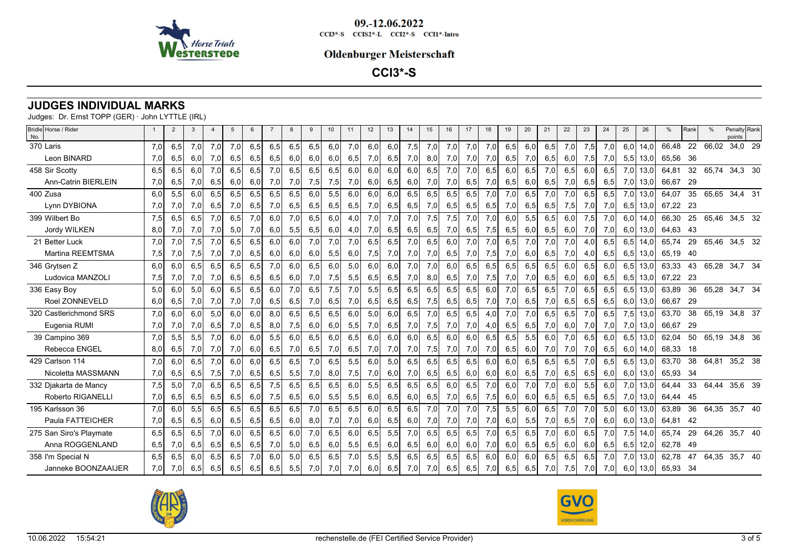

### **Oldenburger Meisterschaft**

**CCI3\*-S**

# **JUDGES INDIVIDUAL MARKS**

| Bridle Horse / Rider<br>No. |     | $\overline{2}$ | 3   |     | 5   | 6   |     | 8   |     | 10  | 11  | 12  | 13  | 14  | 15  | 16  | 17  | 18  | 19  | 20  | 21  | 22  | 23  | 24  | 25  | 26         | %        | Rank |       | Penalty Rank<br>points |  |
|-----------------------------|-----|----------------|-----|-----|-----|-----|-----|-----|-----|-----|-----|-----|-----|-----|-----|-----|-----|-----|-----|-----|-----|-----|-----|-----|-----|------------|----------|------|-------|------------------------|--|
| 370 Laris                   | 7.0 | 6,5            | 7,0 | 7,0 | 7,0 | 6,5 | 6,5 | 6,5 | 6,5 | 6,0 | 7,0 | 6,0 | 6,0 | 7,5 | 7,0 | 7,0 | 7,0 | 7,0 | 6.5 | 6.0 | 6.5 | 7,0 | 7,5 | 7.0 | 6.0 | 14.0       | 66,48    | 22   | 66,02 | 34,0 29                |  |
| Leon BINARD                 | 7,0 | 6,5            | 6,0 | 7,0 | 6,5 | 6,5 | 6,5 | 6,0 | 6,0 | 6,0 | 6,5 | 7,0 | 6,5 | 7,0 | 8,0 | 7,0 | 7,0 | 7,0 | 6,5 | 7,0 | 6,5 | 6,0 | 7,5 | 7,0 | 5,5 | 13,0       | 65,56    | - 36 |       |                        |  |
| 458 Sir Scotty              | 6,5 | 6,5            | 6,0 | 7,0 | 6,5 | 6,5 | 7,0 | 6,5 | 6,5 | 6,5 | 6,0 | 6,0 | 6,0 | 6,0 | 6,5 | 7,0 | 7,0 | 6.5 | 6,0 | 6,5 | 7,0 | 6,5 | 6.0 | 6.5 | 7,0 | 13.0       | 64,81    | 32   | 65.74 | 34,3 30                |  |
| <b>Ann-Catrin BIERLEIN</b>  | 7,0 | 6,5            | 7,0 | 6,5 | 6,0 | 6,0 | 7,0 | 7,0 | 7,5 | 7,5 | 7,0 | 6,0 | 6,5 | 6,0 | 7,0 | 7,0 | 6,5 | 7,0 | 6,5 | 6,0 | 6,5 | 7,0 | 6,5 | 6,5 | 7,0 | 13,0       | 66,67    | 29   |       |                        |  |
| 400 Zusa                    | 6.0 | 5.5            | 6.0 | 6.5 | 6.5 | 6.5 | 6.5 | 6.5 | 6.0 | 5.5 | 6.0 | 6.0 | 6.0 | 6.5 | 6.5 | 6.5 | 6.5 | 7.0 | 7.0 | 6.5 | 7.0 | 7.0 | 6.5 | 6.5 | 7.0 | 13.0       | 64,07    | 35   | 65.65 | 34,4 31                |  |
| Lynn DYBIONA                | 7,0 | 7,0            | 7,0 | 6,5 | 7,0 | 6,5 | 7,0 | 6,5 | 6,5 | 6,5 | 6,5 | 7,0 | 6,5 | 6,5 | 7,0 | 6,5 | 6,5 | 6,5 | 7,0 | 6,5 | 6,5 | 7,5 | 7,0 | 7,0 | 6,5 | 13,0       | 67,22    | -23  |       |                        |  |
| 399 Wilbert Bo              | 7.5 | 6,5            | 6,5 | 7,0 | 6,5 | 7,0 | 6,0 | 7,0 | 6,5 | 6,0 | 4,0 | 7,0 | 7,0 | 7,0 | 7,5 | 7,5 | 7,0 | 7,0 | 6.0 | 5,5 | 6.5 | 6.0 | 7,5 | 7.0 | 6.0 | 14.0       | 66,30    | 25   | 65.46 | 34,5 32                |  |
| Jordy WILKEN                | 8,0 | 7,0            | 7,0 | 7,0 | 5,0 | 7,0 | 6,0 | 5,5 | 6,5 | 6,0 | 4,0 | 7,0 | 6,5 | 6,5 | 6,5 | 7,0 | 6,5 | 7,5 | 6,5 | 6,0 | 6,5 | 6,0 | 7,0 | 7,0 | 6,0 | 13,0       | 64,63    | -43  |       |                        |  |
| 21 Better Luck              | 7.0 | 7.0            | 7.5 | 7.0 | 6.5 | 6.5 | 6.0 | 6.0 | 7.0 | 7.0 | 7.0 | 6.5 | 6.5 | 7.0 | 6.5 | 6.0 | 7.0 | 7.0 | 6.5 | 7.0 | 7.0 | 7.0 | 4.0 | 6.5 | 6.5 | 14.0       | 65.74    | 29   | 65.46 | 34,5 32                |  |
| Martina REEMTSMA            | 7,5 | 7,0            | 7,5 | 7,0 | 7,0 | 6,5 | 6,0 | 6,0 | 6,0 | 5,5 | 6,0 | 7,5 | 7,0 | 7,0 | 7,0 | 6,5 | 7,0 | 7,5 | 7,0 | 6,0 | 6,5 | 7,0 | 4,0 | 6,5 | 6,5 | 13,0       | 65,19    | -40  |       |                        |  |
| 346 Grytsen Z               | 6,0 | 6,0            | 6,5 | 6,5 | 6,5 | 6,5 | 7,0 | 6,0 | 6,5 | 6,0 | 5,0 | 6,0 | 6,0 | 7,0 | 7,0 | 6,0 | 6,5 | 6,5 | 6,5 | 6,5 | 6,5 | 6,0 | 6,5 | 6.0 | 6,5 | 13,0       | 63,33    | -43  | 65,28 | 34,7 34                |  |
| Ludovica MANZOLI            | 7,5 | 7,0            | 7,0 | 7,0 | 6,5 | 6,5 | 6,5 | 6,0 | 7,0 | 7,5 | 5,5 | 6,5 | 6,5 | 7,0 | 8,0 | 6,5 | 7,0 | 7,5 | 7,0 | 7,0 | 6,5 | 6,0 | 6,0 | 6,5 | 6,5 | 13,0       | 67,22    | - 23 |       |                        |  |
| 336 Easy Boy                | 5.0 | 6,0            | 5,0 | 6.0 | 6.5 | 6,5 | 6,0 | 7,0 | 6,5 | 7,5 | 7,0 | 5,5 | 6,5 | 6.5 | 6,5 | 6,5 | 6.5 | 6.0 | 7,0 | 6.5 | 6,5 | 7,0 | 6.5 | 6.5 | 6.5 | 13.0       | 63.89    | 36   |       | 65,28 34,7 34          |  |
| Roel ZONNEVELD              | 6,0 | 6,5            | 7,0 | 7,0 | 7,0 | 7,0 | 6,5 | 6,5 | 7,0 | 6,5 | 7,0 | 6,5 | 6,5 | 6,5 | 7,5 | 6,5 | 6,5 | 7,0 | 7,0 | 6,5 | 7,0 | 6,5 | 6,5 | 6,5 | 6,0 | 13,0       | 66,67    | - 29 |       |                        |  |
| 320 Castlerichmond SRS      | 7,0 | 6,0            | 6,0 | 5,0 | 6,0 | 6,0 | 8,0 | 6,5 | 6,5 | 6,5 | 6,0 | 5,0 | 6,0 | 6,5 | 7,0 | 6,5 | 6,5 | 4,0 | 7,0 | 7,0 | 6,5 | 6,5 | 7,0 | 6,5 | 7,5 | 13,0       | 63,70    | 38   | 65,19 | 34,8 37                |  |
| Eugenia RUMI                | 7,0 | 7,0            | 7,0 | 6,5 | 7,0 | 6,5 | 8,0 | 7,5 | 6,0 | 6,0 | 5,5 | 7,0 | 6,5 | 7,0 | 7,5 | 7,0 | 7,0 | 4,0 | 6,5 | 6,5 | 7,0 | 6,0 | 7,0 | 7,0 | 7,0 | 13,0       | 66,67    | 29   |       |                        |  |
| 39 Campino 369              | 7.0 | 5,5            | 5,5 | 7,0 | 6,0 | 6,0 | 5,5 | 6,0 | 6,5 | 6,0 | 6,5 | 6,0 | 6,0 | 6.0 | 6.5 | 6.0 | 6.0 | 6.5 | 6.5 | 5,5 | 6.0 | 7,0 | 6.5 | 6.0 | 6.5 | 13.0       | 62,04    | 50   |       | 65,19 34,8 36          |  |
| Rebecca ENGEL               | 8,0 | 6,5            | 7,0 | 7,0 | 7,0 | 6,0 | 6,5 | 7,0 | 6,5 | 7,0 | 6,5 | 7,0 | 7,0 | 7,0 | 7,5 | 7,0 | 7,0 | 7,0 | 6,5 | 6,0 | 7,0 | 7,0 | 7,0 | 6,5 | 6,0 | 14,0       | 68,33    | - 18 |       |                        |  |
| 429 Carlson 114             | 7,0 | 6,0            | 6,5 | 7,0 | 6,0 | 6,0 | 6,5 | 6,5 | 7,0 | 6,5 | 5,5 | 6,0 | 5,0 | 6,5 | 6,5 | 6,5 | 6,5 | 6.0 | 6.0 | 6.5 | 6.5 | 6.5 | 7,0 | 6.5 | 6.5 | 13.0       | 63,70    | 38   | 64,81 | 35,2 38                |  |
| Nicoletta MASSMANN          | 7,0 | 6,5            | 6,5 | 7,5 | 7,0 | 6,5 | 6,5 | 5,5 | 7,0 | 8,0 | 7,5 | 7,0 | 6,0 | 7,0 | 6,5 | 6,5 | 6,0 | 6,0 | 6,0 | 6,5 | 7,0 | 6,5 | 6,5 | 6,0 | 6,0 | 13,0       | 65,93    | 34   |       |                        |  |
| 332 Djakarta de Mancy       | 7,5 | 5,0            | 7,0 | 6,5 | 6,5 | 6,5 | 7,5 | 6,5 | 6,5 | 6,5 | 6,0 | 5,5 | 6,5 | 6.5 | 6.5 | 6,0 | 6.5 | 7,0 | 6.0 | 7,0 | 7,0 | 6.0 | 5,5 | 6.0 | 7,0 | 13.0       | 64,44    | 33   | 64,44 | 35,6 39                |  |
| Roberto RIGANELLI           | 7,0 | 6,5            | 6,5 | 6,5 | 6,5 | 6,0 | 7,5 | 6,5 | 6,0 | 5,5 | 5,5 | 6,0 | 6,5 | 6,0 | 6,5 | 7,0 | 6,5 | 7,5 | 6,0 | 6,0 | 6,5 | 6,5 | 6,5 | 6,5 | 7,0 | 13,0       | 64,44    | 45   |       |                        |  |
| 195 Karlsson 36             | 7.0 | 6,0            | 5.5 | 6.5 | 6.5 | 6.5 | 6.5 | 6.5 | 7.0 | 6.5 | 6.5 | 6.0 | 6.5 | 6.5 | 7.0 | 7.0 | 7.0 | 7,5 | 5.5 | 6.0 | 6.5 | 7.0 | 7.0 | 5.0 | 6.0 | 13.0       | 63,89    | 36   | 64,35 | 35,7 40                |  |
| Paula FATTEICHER            | 7,0 | 6,5            | 6,5 | 6,0 | 6,5 | 6,5 | 6,5 | 6,0 | 8,0 | 7,0 | 7,0 | 6,0 | 6,5 | 6,0 | 7,0 | 7,0 | 7,0 | 7,0 | 6,0 | 5,5 | 7,0 | 6,5 | 7,0 | 6,0 | 6,0 | 13,0       | 64,81    | -42  |       |                        |  |
| 275 San Siro's Playmate     | 6.5 | 6,5            | 6.5 | 7.0 | 6.0 | 6.5 | 6.5 | 6.0 | 7.0 | 6.5 | 6.0 | 6.5 | 5.5 | 7.0 | 6.5 | 6.5 | 6.5 | 7.0 | 6.5 | 6.5 | 7.0 | 6.0 | 6.5 | 7.0 | 7,5 | 14.0       | 65,74    | 29   | 64,26 | 35,7 40                |  |
| Anna ROGGENLAND             | 6,5 | 7,0            | 6,5 | 6,5 | 6,5 | 6,5 | 7,0 | 5,0 | 6,5 | 6,0 | 5,5 | 6,5 | 6,0 | 6,5 | 6,0 | 6,0 | 6,0 | 7,0 | 6,0 | 6,5 | 6,5 | 6,0 | 6,0 | 6,5 | 6,5 | 12,0       | 62,78    | - 49 |       |                        |  |
| 358 I'm Special N           | 6.5 | 6.5            | 6.0 | 6.5 | 6.5 | 7.0 | 6.0 | 5.0 | 6.5 | 6.5 | 7.0 | 5.5 | 5.5 | 6.5 | 6.5 | 6.5 | 6.5 | 6.0 | 6.0 | 6.0 | 6.5 | 6.5 | 6.5 | 7.0 | 7.0 | 13.0       | 62,78    | 47   |       | 64,35 35,7 40          |  |
| Janneke BOONZAAIJER         | 7.0 | 7,0            | 6,5 | 6,5 | 6,5 | 6,5 | 6,5 | 5,5 | 7,0 | 7,0 | 7,0 | 6,0 | 6,5 | 7,0 | 7,0 | 6,5 | 6,5 | 7,0 | 6,5 | 6,5 | 7,0 | 7,5 | 7,0 | 7,0 |     | $6,0$ 13,0 | 65,93 34 |      |       |                        |  |



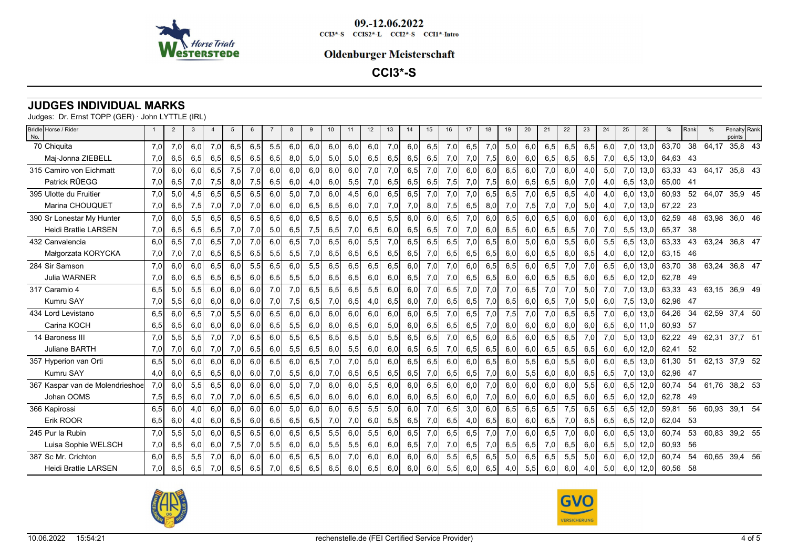

### **Oldenburger Meisterschaft**

**CCI3\*-S**

# **JUDGES INDIVIDUAL MARKS**

| Bridle Horse / Rider<br>No.     |     | 2   | 3   |     |     |     |     |     |     | 10 <sup>10</sup> | 11  | 12 <sup>2</sup> | 13  | 14  | 15  | 16  | 17  | 18  | 19  | 20  | 21  | 22  | 23  | 24  | 25  | 26   | %        | Rank |               | Penalty Rank<br>points |  |
|---------------------------------|-----|-----|-----|-----|-----|-----|-----|-----|-----|------------------|-----|-----------------|-----|-----|-----|-----|-----|-----|-----|-----|-----|-----|-----|-----|-----|------|----------|------|---------------|------------------------|--|
| 70 Chiquita                     | 7.0 | 7,0 | 6.0 | 7,0 | 6,5 | 6,5 | 5,5 | 6,0 | 6,0 | 6,0              | 6,0 | 6,0             | 7,0 | 6,0 | 6,5 | 7,0 | 6,5 | 7,0 | 5,0 | 6,0 | 6,5 | 6,5 | 6,5 | 6.0 | 7,0 | 13.0 | 63,70    | 38   | 64,17         | 35,8 43                |  |
| Maj-Jonna ZIEBELL               | 7,0 | 6,5 | 6,5 | 6,5 | 6,5 | 6,5 | 6,5 | 8,0 | 5,0 | 5,0              | 5,0 | 6,5             | 6,5 | 6,5 | 6,5 | 7,0 | 7,0 | 7,5 | 6,0 | 6,0 | 6,5 | 6,5 | 6,5 | 7,0 | 6,5 | 13,0 | 64,63    | - 43 |               |                        |  |
| 315 Camiro von Eichmatt         | 7.0 | 6.0 | 6,0 | 6,5 | 7,5 | 7,0 | 6,0 | 6,0 | 6,0 | 6,0              | 6,0 | 7,0             | 7,0 | 6,5 | 7,0 | 7,0 | 6,0 | 6,0 | 6,5 | 6,0 | 7,0 | 6.0 | 4,0 | 5,0 | 7,0 | 13,0 | 63,33    | 43   | 64.17         | 35,8 43                |  |
| Patrick RÜEGG                   | 7,0 | 6,5 | 7,0 | 7,5 | 8,0 | 7,5 | 6,5 | 6,0 | 4,0 | 6,0              | 5,5 | 7,0             | 6,5 | 6,5 | 6,5 | 7,5 | 7,0 | 7,5 | 6,0 | 6,5 | 6,5 | 6,0 | 7,0 | 4,0 | 6,5 | 13,0 | 65,00 41 |      |               |                        |  |
| 395 Ulotte du Fruitier          | 7.0 | 5.0 | 4.5 | 6.5 | 6.5 | 6.5 | 6.0 | 5.0 | 7.0 | 6.0              | 4.5 | 6.0             | 6.5 | 6.5 | 7.0 | 7.0 | 7.0 | 6.5 | 6,5 | 7,0 | 6.5 | 6.5 | 4.0 | 4.0 | 6.0 | 13.0 | 60.93    | 52   | 64,07         | 35,9 45                |  |
| Marina CHOUQUET                 | 7,0 | 6,5 | 7,5 | 7,0 | 7,0 | 7,0 | 6,0 | 6,0 | 6,5 | 6,5              | 6,0 | 7,0             | 7,0 | 7,0 | 8,0 | 7,5 | 6,5 | 8,0 | 7,0 | 7,5 | 7,0 | 7,0 | 5,0 | 4,0 | 7,0 | 13,0 | 67,22    | - 23 |               |                        |  |
| 390 Sr Lonestar My Hunter       | 7,0 | 6,0 | 5,5 | 6,5 | 6,5 | 6,5 | 6,5 | 6,0 | 6,5 | 6,5              | 6,0 | 6,5             | 5,5 | 6,0 | 6,0 | 6,5 | 7,0 | 6,0 | 6,5 | 6,0 | 6,5 | 6,0 | 6,0 | 6,0 | 6,0 | 13,0 | 62,59    | 48   | 63,98         | 36,0 46                |  |
| <b>Heidi Bratlie LARSEN</b>     | 7,0 | 6,5 | 6,5 | 6,5 | 7,0 | 7,0 | 5,0 | 6,5 | 7,5 | 6,5              | 7,0 | 6,5             | 6,0 | 6,5 | 6,5 | 7,0 | 7,0 | 6,0 | 6,5 | 6,0 | 6,5 | 6,5 | 7,0 | 7,0 | 5,5 | 13,0 | 65,37    | - 38 |               |                        |  |
| 432 Canvalencia                 | 6.0 | 6.5 | 7.0 | 6.5 | 7.0 | 7.0 | 6.0 | 6.5 | 7.0 | 6.5              | 6.0 | 5,5             | 7.0 | 6.5 | 6,5 | 6,5 | 7,0 | 6,5 | 6.0 | 5.0 | 6.0 | 5,5 | 6.0 | 5,5 | 6,5 | 13.0 | 63.33    | 43   | 63,24 36,8 47 |                        |  |
| Małgorzata KORYCKA              | 7,0 | 7,0 | 7,0 | 6,5 | 6,5 | 6,5 | 5,5 | 5,5 | 7,0 | 6,5              | 6,5 | 6,5             | 6,5 | 6,5 | 7,0 | 6,5 | 6,5 | 6,5 | 6,0 | 6,0 | 6,5 | 6,0 | 6,5 | 4,0 | 6,0 | 12,0 | 63.15    | - 46 |               |                        |  |
| 284 Sir Samson                  | 7,0 | 6,0 | 6,0 | 6,5 | 6,0 | 5,5 | 6,5 | 6,0 | 5,5 | 6,5              | 6,5 | 6,5             | 6,5 | 6,0 | 7,0 | 7,0 | 6,0 | 6,5 | 6,5 | 6,0 | 6,5 | 7,0 | 7,0 | 6,5 | 6,0 | 13,0 | 63,70    | 38   | 63,24         | 36,8 47                |  |
| <b>Julia WARNER</b>             | 7,0 | 6,0 | 6,5 | 6,5 | 6,5 | 6,0 | 6,5 | 5,5 | 5,0 | 6,5              | 6,5 | 6,0             | 6,0 | 6,5 | 7,0 | 7,0 | 6,5 | 6,5 | 6,0 | 6,0 | 6,5 | 6,5 | 6,0 | 6,5 | 6,0 | 12,0 | 62,78    | - 49 |               |                        |  |
| 317 Caramio 4                   | 6.5 | 5,0 | 5,5 | 6,0 | 6,0 | 6,0 | 7,0 | 7,0 | 6,5 | 6,5              | 6,5 | 5,5             | 6,0 | 6,0 | 7,0 | 6,5 | 7,0 | 7,0 | 7,0 | 6,5 | 7,0 | 7,0 | 5,0 | 7,0 | 7,0 | 13,0 | 63,33    | 43   |               | 63,15 36,9 49          |  |
| Kumru SAY                       | 7,0 | 5,5 | 6,0 | 6,0 | 6,0 | 6,0 | 7,0 | 7,5 | 6,5 | 7,0              | 6,5 | 4,0             | 6,5 | 6,0 | 7,0 | 6,5 | 6,5 | 7,0 | 6,5 | 6,0 | 6,5 | 7,0 | 5,0 | 6,0 | 7,5 | 13,0 | 62,96 47 |      |               |                        |  |
| 434 Lord Levistano              | 6,5 | 6,0 | 6,5 | 7,0 | 5,5 | 6,0 | 6,5 | 6,0 | 6,0 | 6,0              | 6,0 | 6,0             | 6,0 | 6,0 | 6,5 | 7,0 | 6,5 | 7,0 | 7,5 | 7,0 | 7,0 | 6,5 | 6,5 | 7,0 | 6,0 | 13,0 | 64,26    | 34   | 62,59         | 37,4 50                |  |
| Carina KOCH                     | 6,5 | 6,5 | 6,0 | 6,0 | 6,0 | 6,0 | 6,5 | 5,5 | 6,0 | 6,0              | 6,5 | 6,0             | 5,0 | 6,0 | 6,5 | 6,5 | 6,5 | 7,0 | 6,0 | 6,0 | 6,0 | 6,0 | 6,0 | 6,5 | 6,0 | 11,0 | 60,93    | - 57 |               |                        |  |
| 14 Baroness III                 | 7.0 | 5,5 | 5,5 | 7,0 | 7,0 | 6,5 | 6,0 | 5,5 | 6,5 | 6,5              | 6,5 | 5,0             | 5,5 | 6,5 | 6,5 | 7,0 | 6,5 | 6,0 | 6,5 | 6,0 | 6,5 | 6,5 | 7,0 | 7,0 | 5,0 | 13,0 | 62,22    | 49   | 62,31         | 37,7 51                |  |
| Juliane BARTH                   | 7,0 | 7,0 | 6,0 | 7,0 | 7,0 | 6,5 | 6,0 | 5,5 | 6,5 | 6,0              | 5,5 | 6,0             | 6,0 | 6,5 | 6,5 | 7,0 | 6,5 | 6,5 | 6,0 | 6,0 | 6,5 | 6,5 | 6,5 | 6,0 | 6,0 | 12,0 | 62,41    | -52  |               |                        |  |
| 357 Hyperion van Orti           | 6,5 | 5,0 | 6,0 | 6,0 | 6,0 | 6,0 | 6,5 | 6,0 | 6,5 | 7,0              | 7,0 | 5,0             | 6,0 | 6,5 | 6,5 | 6,0 | 6,0 | 6,5 | 6,0 | 5,5 | 6,0 | 5,5 | 6,0 | 6,0 | 6,5 | 13,0 | 61,30    | 51   |               | 62,13 37,9 52          |  |
| <b>Kumru SAY</b>                | 4,0 | 6,0 | 6,5 | 6,5 | 6,0 | 6,0 | 7,0 | 5,5 | 6,0 | 7,0              | 6,5 | 6,5             | 6,5 | 6,5 | 7,0 | 6,5 | 6,5 | 7,0 | 6,0 | 5,5 | 6,0 | 6,0 | 6,5 | 6,5 | 7,0 | 13,0 | 62,96    | -47  |               |                        |  |
| 367 Kaspar van de Molendrieshoe | 7.0 | 6,0 | 5,5 | 6,5 | 6,0 | 6,0 | 6,0 | 5,0 | 7,0 | 6,0              | 6,0 | 5,5             | 6.0 | 6.0 | 6.5 | 6.0 | 6.0 | 7,0 | 6.0 | 6,0 | 6,0 | 6,0 | 5,5 | 6.0 | 6,5 | 12,0 | 60.74    | 54   | 61,76         | 38,2 53                |  |
| Johan OOMS                      | 7,5 | 6,5 | 6,0 | 7,0 | 7,0 | 6,0 | 6,5 | 6,5 | 6,0 | 6,0              | 6,0 | 6,0             | 6,0 | 6,0 | 6,5 | 6,0 | 6,0 | 7,0 | 6,0 | 6,0 | 6,0 | 6,5 | 6,0 | 6,5 | 6,0 | 12,0 | 62,78    | -49  |               |                        |  |
| 366 Kapirossi                   | 6.5 | 6,0 | 4.0 | 6.0 | 6,0 | 6,0 | 6,0 | 5,0 | 6.0 | 6.0              | 6.5 | 5,5             | 5,0 | 6.0 | 7,0 | 6,5 | 3,0 | 6.0 | 6,5 | 6,5 | 6,5 | 7,5 | 6,5 | 6,5 | 6,5 | 12,0 | 59,81    | 56   | 60,93         | 39,1 54                |  |
| Erik ROOR                       | 6,5 | 6,0 | 4,0 | 6,0 | 6,5 | 6,0 | 6,5 | 6,5 | 6,5 | 7,0              | 7,0 | 6,0             | 5,5 | 6,5 | 7,0 | 6,5 | 4,0 | 6,5 | 6,0 | 6,0 | 6,5 | 7,0 | 6,5 | 6,5 | 6,5 | 12,0 | 62,04    | -53  |               |                        |  |
| 245 Pur la Rubin                | 7.0 | 5,5 | 5,0 | 6.0 | 6.5 | 6.5 | 6.0 | 6.5 | 6,5 | 5,5              | 6.0 | 5,5             | 6.0 | 6,5 | 7.0 | 6,5 | 6,5 | 7,0 | 7,0 | 6.0 | 6,5 | 7,0 | 6.0 | 6.0 | 6,5 | 13,0 | 60.74    | 53   | 60.83         | 39,2 55                |  |
| Luisa Sophie WELSCH             | 7,0 | 6,5 | 6,0 | 6,0 | 7,5 | 7,0 | 5,5 | 6,0 | 6,0 | 5,5              | 5,5 | 6,0             | 6,0 | 6,5 | 7,0 | 7,0 | 6,5 | 7,0 | 6,5 | 6,5 | 7,0 | 6,5 | 6,0 | 6,5 | 5,0 | 12,0 | 60,93    | 56   |               |                        |  |
| 387 Sc Mr. Crichton             | 6.0 | 6,5 | 5.5 | 7.0 | 6.0 | 6.0 | 6.0 | 6.5 | 6.5 | 6.0              | 7.0 | 6.0             | 6.0 | 6.0 | 6.0 | 5.5 | 6.5 | 6.5 | 5.0 | 6,5 | 6.5 | 5,5 | 5.0 | 6.0 | 6.0 | 12,0 | 60,74    | 54   | 60,65         | 39,4 56                |  |
| <b>Heidi Bratlie LARSEN</b>     | 7.0 | 6,5 | 6,5 | 7,0 | 6,5 | 6,5 | 7,0 | 6,5 | 6,5 | 6,5              | 6,0 | 6,5             | 6,0 | 6,0 | 6,0 | 5,5 | 6,0 | 6,5 | 4.0 | 5,5 | 6,0 | 6,0 | 4,0 | 5,0 | 6,0 | 12,0 | 60,56 58 |      |               |                        |  |
|                                 |     |     |     |     |     |     |     |     |     |                  |     |                 |     |     |     |     |     |     |     |     |     |     |     |     |     |      |          |      |               |                        |  |